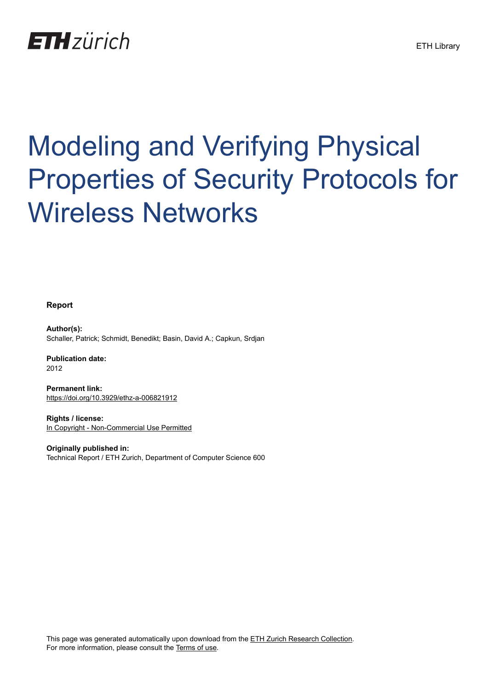## **ETH**zürich

# Modeling and Verifying Physical Properties of Security Protocols for Wireless Networks

**Report**

**Author(s):** Schaller, Patrick; Schmidt, Benedikt; Basin, David A.; Capkun, Srdjan

**Publication date:** 2012

**Permanent link:** <https://doi.org/10.3929/ethz-a-006821912>

**Rights / license:** [In Copyright - Non-Commercial Use Permitted](http://rightsstatements.org/page/InC-NC/1.0/)

**Originally published in:** Technical Report / ETH Zurich, Department of Computer Science 600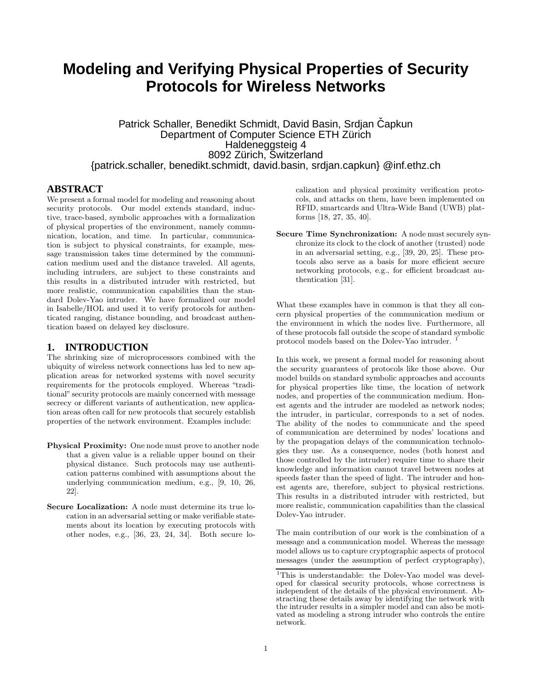## **Modeling and Verifying Physical Properties of Security Protocols for Wireless Networks**

Patrick Schaller, Benedikt Schmidt, David Basin, Srdjan Čapkun Department of Computer Science ETH Zürich Haldeneggsteig 4 8092 Zürich, Switzerland {patrick.schaller, benedikt.schmidt, david.basin, srdjan.capkun} @inf.ethz.ch

#### **ABSTRACT**

We present a formal model for modeling and reasoning about security protocols. Our model extends standard, inductive, trace-based, symbolic approaches with a formalization of physical properties of the environment, namely communication, location, and time. In particular, communication is subject to physical constraints, for example, message transmission takes time determined by the communication medium used and the distance traveled. All agents, including intruders, are subject to these constraints and this results in a distributed intruder with restricted, but more realistic, communication capabilities than the standard Dolev-Yao intruder. We have formalized our model in Isabelle/HOL and used it to verify protocols for authenticated ranging, distance bounding, and broadcast authentication based on delayed key disclosure.

#### **1. INTRODUCTION**

The shrinking size of microprocessors combined with the ubiquity of wireless network connections has led to new application areas for networked systems with novel security requirements for the protocols employed. Whereas "traditional" security protocols are mainly concerned with message secrecy or different variants of authentication, new application areas often call for new protocols that securely establish properties of the network environment. Examples include:

- Physical Proximity: One node must prove to another node that a given value is a reliable upper bound on their physical distance. Such protocols may use authentication patterns combined with assumptions about the underlying communication medium, e.g., [9, 10, 26, 22].
- Secure Localization: A node must determine its true location in an adversarial setting or make verifiable statements about its location by executing protocols with other nodes, e.g., [36, 23, 24, 34]. Both secure lo-

calization and physical proximity verification protocols, and attacks on them, have been implemented on RFID, smartcards and Ultra-Wide Band (UWB) platforms [18, 27, 35, 40].

Secure Time Synchronization: A node must securely synchronize its clock to the clock of another (trusted) node in an adversarial setting, e.g., [39, 20, 25]. These protocols also serve as a basis for more efficient secure networking protocols, e.g., for efficient broadcast authentication [31].

What these examples have in common is that they all concern physical properties of the communication medium or the environment in which the nodes live. Furthermore, all of these protocols fall outside the scope of standard symbolic protocol models based on the Dolev-Yao intruder. <sup>1</sup>

In this work, we present a formal model for reasoning about the security guarantees of protocols like those above. Our model builds on standard symbolic approaches and accounts for physical properties like time, the location of network nodes, and properties of the communication medium. Honest agents and the intruder are modeled as network nodes; the intruder, in particular, corresponds to a set of nodes. The ability of the nodes to communicate and the speed of communication are determined by nodes' locations and by the propagation delays of the communication technologies they use. As a consequence, nodes (both honest and those controlled by the intruder) require time to share their knowledge and information cannot travel between nodes at speeds faster than the speed of light. The intruder and honest agents are, therefore, subject to physical restrictions. This results in a distributed intruder with restricted, but more realistic, communication capabilities than the classical Dolev-Yao intruder.

The main contribution of our work is the combination of a message and a communication model. Whereas the message model allows us to capture cryptographic aspects of protocol messages (under the assumption of perfect cryptography),

<sup>&</sup>lt;sup>1</sup>This is understandable: the Dolev-Yao model was developed for classical security protocols, whose correctness is independent of the details of the physical environment. Abstracting these details away by identifying the network with the intruder results in a simpler model and can also be motivated as modeling a strong intruder who controls the entire network.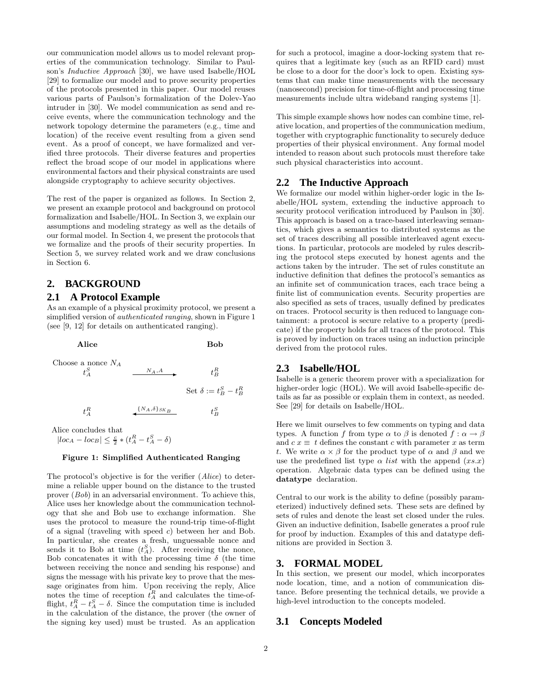our communication model allows us to model relevant properties of the communication technology. Similar to Paulson's Inductive Approach [30], we have used Isabelle/HOL [29] to formalize our model and to prove security properties of the protocols presented in this paper. Our model reuses various parts of Paulson's formalization of the Dolev-Yao intruder in [30]. We model communication as send and receive events, where the communication technology and the network topology determine the parameters (e.g., time and location) of the receive event resulting from a given send event. As a proof of concept, we have formalized and verified three protocols. Their diverse features and properties reflect the broad scope of our model in applications where environmental factors and their physical constraints are used alongside cryptography to achieve security objectives.

The rest of the paper is organized as follows. In Section 2, we present an example protocol and background on protocol formalization and Isabelle/HOL. In Section 3, we explain our assumptions and modeling strategy as well as the details of our formal model. In Section 4, we present the protocols that we formalize and the proofs of their security properties. In Section 5, we survey related work and we draw conclusions in Section 6.

#### **2. BACKGROUND**

#### **2.1 A Protocol Example**

As an example of a physical proximity protocol, we present a simplified version of authenticated ranging, shown in Figure 1 (see [9, 12] for details on authenticated ranging).

Alice Bob Choose a nonce  $N_A$  $t^S_A$  $N_A, A$ R B Set  $\delta := t_B^S - t_B^R$  $t_A^R$  $\{N_A,\delta\}_{SK_B}$ S B

Alice concludes that

## $|loc_A - loc_B| \leq \frac{c}{2} * (t_A^R - t_A^S - \delta)$

#### Figure 1: Simplified Authenticated Ranging

The protocol's objective is for the verifier (Alice) to determine a reliable upper bound on the distance to the trusted prover (Bob) in an adversarial environment. To achieve this, Alice uses her knowledge about the communication technology that she and Bob use to exchange information. She uses the protocol to measure the round-trip time-of-flight of a signal (traveling with speed  $c$ ) between her and Bob. In particular, she creates a fresh, unguessable nonce and sends it to Bob at time  $(t_A^S)$ . After receiving the nonce, Bob concatenates it with the processing time  $\delta$  (the time between receiving the nonce and sending his response) and signs the message with his private key to prove that the message originates from him. Upon receiving the reply, Alice notes the time of reception  $t_A^R$  and calculates the time-offlight,  $t_A^R - t_A^S - \delta$ . Since the computation time is included in the calculation of the distance, the prover (the owner of the signing key used) must be trusted. As an application

for such a protocol, imagine a door-locking system that requires that a legitimate key (such as an RFID card) must be close to a door for the door's lock to open. Existing systems that can make time measurements with the necessary (nanosecond) precision for time-of-flight and processing time measurements include ultra wideband ranging systems [1].

This simple example shows how nodes can combine time, relative location, and properties of the communication medium, together with cryptographic functionality to securely deduce properties of their physical environment. Any formal model intended to reason about such protocols must therefore take such physical characteristics into account.

#### **2.2 The Inductive Approach**

We formalize our model within higher-order logic in the Isabelle/HOL system, extending the inductive approach to security protocol verification introduced by Paulson in [30]. This approach is based on a trace-based interleaving semantics, which gives a semantics to distributed systems as the set of traces describing all possible interleaved agent executions. In particular, protocols are modeled by rules describing the protocol steps executed by honest agents and the actions taken by the intruder. The set of rules constitute an inductive definition that defines the protocol's semantics as an infinite set of communication traces, each trace being a finite list of communication events. Security properties are also specified as sets of traces, usually defined by predicates on traces. Protocol security is then reduced to language containment: a protocol is secure relative to a property (predicate) if the property holds for all traces of the protocol. This is proved by induction on traces using an induction principle derived from the protocol rules.

#### **2.3 Isabelle/HOL**

Isabelle is a generic theorem prover with a specialization for higher-order logic (HOL). We will avoid Isabelle-specific details as far as possible or explain them in context, as needed. See [29] for details on Isabelle/HOL.

Here we limit ourselves to few comments on typing and data types. A function f from type  $\alpha$  to  $\beta$  is denoted  $f : \alpha \to \beta$ and  $c x \equiv t$  defines the constant c with parameter x as term t. We write  $\alpha \times \beta$  for the product type of  $\alpha$  and  $\beta$  and we use the predefined list type  $\alpha$  *list* with the append  $(x, x)$ operation. Algebraic data types can be defined using the datatype declaration.

Central to our work is the ability to define (possibly parameterized) inductively defined sets. These sets are defined by sets of rules and denote the least set closed under the rules. Given an inductive definition, Isabelle generates a proof rule for proof by induction. Examples of this and datatype definitions are provided in Section 3.

#### **3. FORMAL MODEL**

In this section, we present our model, which incorporates node location, time, and a notion of communication distance. Before presenting the technical details, we provide a high-level introduction to the concepts modeled.

#### **3.1 Concepts Modeled**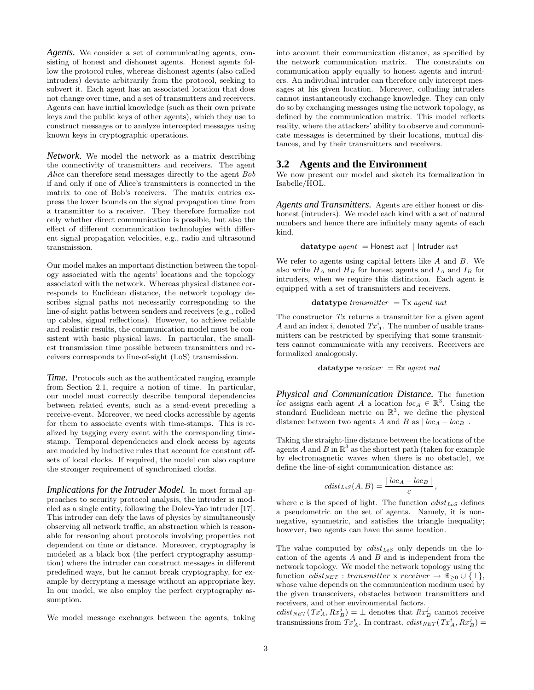*Agents.* We consider a set of communicating agents, consisting of honest and dishonest agents. Honest agents follow the protocol rules, whereas dishonest agents (also called intruders) deviate arbitrarily from the protocol, seeking to subvert it. Each agent has an associated location that does not change over time, and a set of transmitters and receivers. Agents can have initial knowledge (such as their own private keys and the public keys of other agents), which they use to construct messages or to analyze intercepted messages using known keys in cryptographic operations.

*Network.* We model the network as a matrix describing the connectivity of transmitters and receivers. The agent Alice can therefore send messages directly to the agent Bob if and only if one of Alice's transmitters is connected in the matrix to one of Bob's receivers. The matrix entries express the lower bounds on the signal propagation time from a transmitter to a receiver. They therefore formalize not only whether direct communication is possible, but also the effect of different communication technologies with different signal propagation velocities, e.g., radio and ultrasound transmission.

Our model makes an important distinction between the topology associated with the agents' locations and the topology associated with the network. Whereas physical distance corresponds to Euclidean distance, the network topology describes signal paths not necessarily corresponding to the line-of-sight paths between senders and receivers (e.g., rolled up cables, signal reflections). However, to achieve reliable and realistic results, the communication model must be consistent with basic physical laws. In particular, the smallest transmission time possible between transmitters and receivers corresponds to line-of-sight (LoS) transmission.

*Time.* Protocols such as the authenticated ranging example from Section 2.1, require a notion of time. In particular, our model must correctly describe temporal dependencies between related events, such as a send-event preceding a receive-event. Moreover, we need clocks accessible by agents for them to associate events with time-stamps. This is realized by tagging every event with the corresponding timestamp. Temporal dependencies and clock access by agents are modeled by inductive rules that account for constant offsets of local clocks. If required, the model can also capture the stronger requirement of synchronized clocks.

*Implications for the Intruder Model.* In most formal approaches to security protocol analysis, the intruder is modeled as a single entity, following the Dolev-Yao intruder [17]. This intruder can defy the laws of physics by simultaneously observing all network traffic, an abstraction which is reasonable for reasoning about protocols involving properties not dependent on time or distance. Moreover, cryptography is modeled as a black box (the perfect cryptography assumption) where the intruder can construct messages in different predefined ways, but he cannot break cryptography, for example by decrypting a message without an appropriate key. In our model, we also employ the perfect cryptography assumption.

We model message exchanges between the agents, taking

into account their communication distance, as specified by the network communication matrix. The constraints on communication apply equally to honest agents and intruders. An individual intruder can therefore only intercept messages at his given location. Moreover, colluding intruders cannot instantaneously exchange knowledge. They can only do so by exchanging messages using the network topology, as defined by the communication matrix. This model reflects reality, where the attackers' ability to observe and communicate messages is determined by their locations, mutual distances, and by their transmitters and receivers.

#### **3.2 Agents and the Environment**

We now present our model and sketch its formalization in Isabelle/HOL.

*Agents and Transmitters.* Agents are either honest or dishonest (intruders). We model each kind with a set of natural numbers and hence there are infinitely many agents of each kind.

datatype  $agent =$  Honest  $nat$  | Intruder  $nat$ 

We refer to agents using capital letters like  $A$  and  $B$ . We also write  $H_A$  and  $H_B$  for honest agents and  $I_A$  and  $I_B$  for intruders, when we require this distinction. Each agent is equipped with a set of transmitters and receivers.

$$
datatype\ transmitter = Tx\ agent\ nat
$$

The constructor  $Tx$  returns a transmitter for a given agent A and an index i, denoted  $Tx_A^i$ . The number of usable transmitters can be restricted by specifying that some transmitters cannot communicate with any receivers. Receivers are formalized analogously.

datatype  $receiver = Rx agent nat$ 

*Physical and Communication Distance.* The function loc assigns each agent A a location  $loc_A \in \mathbb{R}^3$ . Using the standard Euclidean metric on  $\mathbb{R}^3$ , we define the physical distance between two agents A and B as  $| \textit{loc}_A - \textit{loc}_B |$ .

Taking the straight-line distance between the locations of the agents A and B in  $\mathbb{R}^3$  as the shortest path (taken for example by electromagnetic waves when there is no obstacle), we define the line-of-sight communication distance as:

$$
cdist_{LoS}(A, B) = \frac{|loc_A - loc_B|}{c},
$$

where c is the speed of light. The function  $clist_{LoS}$  defines a pseudometric on the set of agents. Namely, it is nonnegative, symmetric, and satisfies the triangle inequality; however, two agents can have the same location.

The value computed by  $clist_{LoS}$  only depends on the location of the agents  $A$  and  $B$  and is independent from the network topology. We model the network topology using the function  $clist_{NET} : transmitter \times receiver \rightarrow \mathbb{R}_{\geq 0} \cup {\{\perp\}},$ whose value depends on the communication medium used by the given transceivers, obstacles between transmitters and receivers, and other environmental factors.

 $\textit{cdist}_{\textit{NET}}(\textit{Tx}_A^i, \textit{Rx}_B^j) = \bot$  denotes that  $\textit{Rx}_B^j$  cannot receive transmissions from  $Tx_A^i$ . In contrast,  $clist_{NET}(Tx_A^i, Rx_B^j)$  =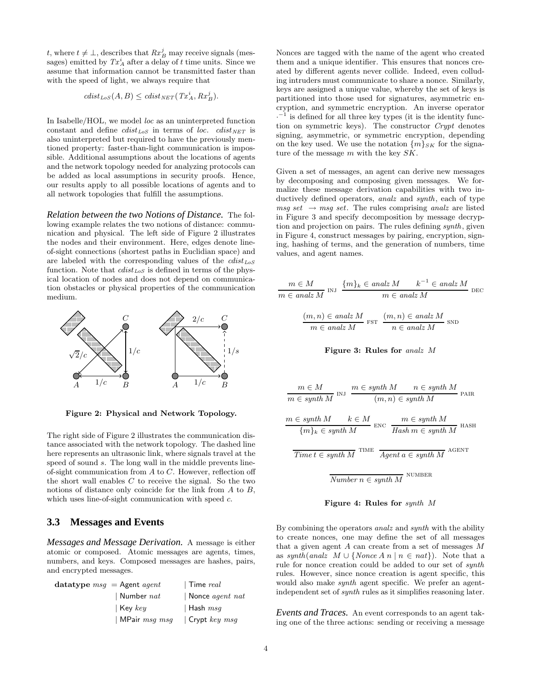t, where  $t \neq \perp$ , describes that  $Rx_B^j$  may receive signals (messages) emitted by  $Tx_A^i$  after a delay of t time units. Since we assume that information cannot be transmitted faster than with the speed of light, we always require that

$$
cdist_{LoS}(A, B) \leq clist_{NET}(Tx_A^i, Rx_B^j).
$$

In Isabelle/HOL, we model loc as an uninterpreted function constant and define  $clist_{LoS}$  in terms of loc.  $clist_{NET}$  is also uninterpreted but required to have the previously mentioned property: faster-than-light communication is impossible. Additional assumptions about the locations of agents and the network topology needed for analyzing protocols can be added as local assumptions in security proofs. Hence, our results apply to all possible locations of agents and to all network topologies that fulfill the assumptions.

*Relation between the two Notions of Distance.* The following example relates the two notions of distance: communication and physical. The left side of Figure 2 illustrates the nodes and their environment. Here, edges denote lineof-sight connections (shortest paths in Euclidian space) and are labeled with the corresponding values of the  $clist_{LoS}$ function. Note that  $clist_{LoS}$  is defined in terms of the physical location of nodes and does not depend on communication obstacles or physical properties of the communication medium.



Figure 2: Physical and Network Topology.

The right side of Figure 2 illustrates the communication distance associated with the network topology. The dashed line here represents an ultrasonic link, where signals travel at the speed of sound s. The long wall in the middle prevents lineof-sight communication from A to C. However, reflection off the short wall enables  $C$  to receive the signal. So the two notions of distance only coincide for the link from A to B, which uses line-of-sight communication with speed  $c$ .

#### **3.3 Messages and Events**

*Messages and Message Derivation.* A message is either atomic or composed. Atomic messages are agents, times, numbers, and keys. Composed messages are hashes, pairs, and encrypted messages.

| Time $real$                  |
|------------------------------|
| Nonce <i>agent</i> $nat$     |
| Hash $msq$                   |
| $\vert$ Crypt <i>key</i> msq |
|                              |

Nonces are tagged with the name of the agent who created them and a unique identifier. This ensures that nonces created by different agents never collide. Indeed, even colluding intruders must communicate to share a nonce. Similarly, keys are assigned a unique value, whereby the set of keys is partitioned into those used for signatures, asymmetric encryption, and symmetric encryption. An inverse operator  $\cdot$ <sup>-1</sup> is defined for all three key types (it is the identity function on symmetric keys). The constructor Crypt denotes signing, asymmetric, or symmetric encryption, depending on the key used. We use the notation  $\{m\}_{SK}$  for the signature of the message m with the key SK.

Given a set of messages, an agent can derive new messages by decomposing and composing given messages. We formalize these message derivation capabilities with two inductively defined operators, *analz* and *synth*, each of type  $msg set \rightarrow msg set$ . The rules comprising analz are listed in Figure 3 and specify decomposition by message decryption and projection on pairs. The rules defining synth, given in Figure 4, construct messages by pairing, encryption, signing, hashing of terms, and the generation of numbers, time values, and agent names.

$$
m \in M
$$
  
\n
$$
m \in \text{anal}\mathbb{Z}M
$$
  
\n
$$
m \in \text{anal}\mathbb{Z}M
$$
  
\n
$$
m \in \text{anal}\mathbb{Z}M
$$
  
\n
$$
m \in \text{anal}\mathbb{Z}M
$$
  
\n
$$
m \in \text{anal}\mathbb{Z}M
$$
  
\n
$$
m \in \text{anal}\mathbb{Z}M
$$
  
\n
$$
m \in \text{anal}\mathbb{Z}M
$$
  
\n
$$
n \in \text{anal}\mathbb{Z}M
$$
  
\n
$$
m \in \text{anal}\mathbb{Z}M
$$



 $m \in M$  $m \in M$   $m \in synth M$   $n \in synth M$ <br>  $m \in synth M$   $(m, n) \in synth M$  $(m, n) \in synth M$ <sup>pair</sup> PAIR  $m \in \text{synth } M$   $k \in M$  ${symth M \qquad k \in M \n m \in synth M}$ <br>  ${m \in synth M \qquad \qquad \hbox{Hash } m \in synth}$  $Hash m \in synth M$ <sup>HASH</sup>  $Time t \in synth\ M$ <sup>TIME</sup>  $Agent\ a \in synth\ M$ agent  $Number n \in synth M$ <sup>NUMBER</sup>



By combining the operators analz and synth with the ability to create nonces, one may define the set of all messages that a given agent A can create from a set of messages M as synth(analz  $M \cup \{None\}$  n |  $n \in nat\}$ ). Note that a rule for nonce creation could be added to our set of synth rules. However, since nonce creation is agent specific, this would also make synth agent specific. We prefer an agentindependent set of synth rules as it simplifies reasoning later.

*Events and Traces.* An event corresponds to an agent taking one of the three actions: sending or receiving a message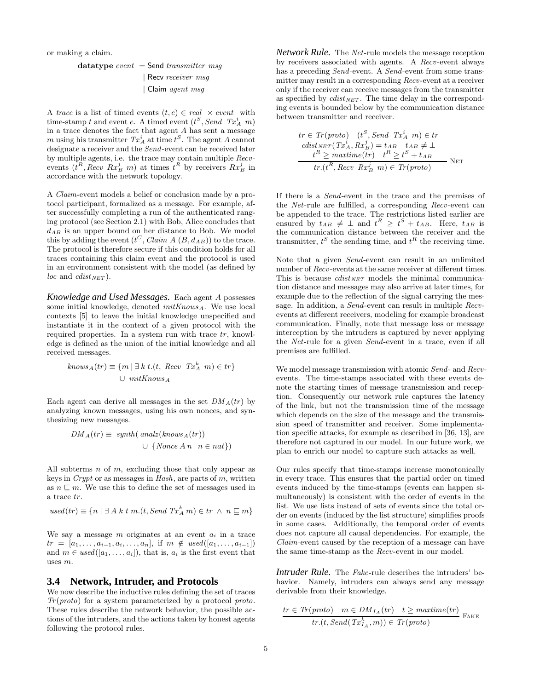or making a claim.

datatype event = Send transmitter msg | Recv receiver msg | Claim agent msg

A trace is a list of timed events  $(t, e) \in real \times event$  with time-stamp t and event  $e$ . A timed event  $(t^S, Send\ Tx_A^i m)$ in a trace denotes the fact that agent A has sent a message m using his transmitter  $Tx_A^i$  at time  $t^S$ . The agent A cannot designate a receiver and the Send-event can be received later by multiple agents, i.e. the trace may contain multiple Recvevents  $(\hat{t}^R, Recv \; Rx_B^j \; m)$  at times  $\hat{t}^R$  by receivers  $Rx_B^j$  in accordance with the network topology.

A Claim-event models a belief or conclusion made by a protocol participant, formalized as a message. For example, after successfully completing a run of the authenticated ranging protocol (see Section 2.1) with Bob, Alice concludes that  $d_{AB}$  is an upper bound on her distance to Bob. We model this by adding the event  $(t^C, Claim A (B, d_{AB}))$  to the trace. The protocol is therefore secure if this condition holds for all traces containing this claim event and the protocol is used in an environment consistent with the model (as defined by *loc* and *cdist*  $_{NET}$ ).

*Knowledge and Used Messages.* Each agent A possesses some initial knowledge, denoted  $initKnows_A$ . We use local contexts [5] to leave the initial knowledge unspecified and instantiate it in the context of a given protocol with the required properties. In a system run with trace  $tr$ , knowledge is defined as the union of the initial knowledge and all received messages.

$$
knows_A(tr) \equiv \{m \mid \exists k \ t.(t, Recv \ Tx_A^k \ m) \in tr\}
$$
  

$$
\cup initKnows_A
$$

Each agent can derive all messages in the set  $DM_A(tr)$  by analyzing known messages, using his own nonces, and synthesizing new messages.

$$
DM_A(tr) \equiv \text{synth}(\text{ analz}(\text{knows}_A(tr))
$$
  

$$
\cup \{ \text{None } A \ n \mid n \in nat \})
$$

All subterms  $n$  of  $m$ , excluding those that only appear as keys in  $Crypt$  or as messages in  $Hash$ , are parts of  $m$ , written as  $n \sqsubseteq m$ . We use this to define the set of messages used in a trace tr.

$$
used(tr) \equiv \{n \mid \exists A \ k \ t \ m.(t, Send \ Tx_A^k m) \in tr \ \land \ n \sqsubseteq m\}
$$

We say a message  $m$  originates at an event  $a_i$  in a trace  $tr = [a_1, \ldots, a_{i-1}, a_i, \ldots, a_n], \text{ if } m \notin used([a_1, \ldots, a_{i-1}])$ and  $m \in used([a_1, \ldots, a_i]),$  that is,  $a_i$  is the first event that uses m.

#### **3.4 Network, Intruder, and Protocols**

We now describe the inductive rules defining the set of traces  $Tr(proto)$  for a system parameterized by a protocol proto. These rules describe the network behavior, the possible actions of the intruders, and the actions taken by honest agents following the protocol rules.

*Network Rule.* The Net-rule models the message reception by receivers associated with agents. A Recv-event always has a preceding Send-event. A Send-event from some transmitter may result in a corresponding Recv-event at a receiver only if the receiver can receive messages from the transmitter as specified by  $clist_{NET}$ . The time delay in the corresponding events is bounded below by the communication distance between transmitter and receiver.

$$
tr \in Tr(proto) \quad (t^S, Send \quad Tx_A^i \quad m) \in tr
$$
  
\n
$$
cdist_{NET}(Tx_A^i, Rx_B^j) = t_{AB} \quad t_{AB} \neq \bot
$$
  
\n
$$
t^R \geq maximize(tr) \quad t^R \geq t^S + t_{AB}
$$
  
\n
$$
tr.(t^R, Recv \quad Rx_B^j \quad m) \in Tr(proto)
$$

If there is a Send-event in the trace and the premises of the Net-rule are fulfilled, a corresponding Recv-event can be appended to the trace. The restrictions listed earlier are ensured by  $t_{AB} \neq \perp$  and  $t^R \geq t^S + t_{AB}$ . Here,  $t_{AB}$  is the communication distance between the receiver and the transmitter,  $t^S$  the sending time, and  $t^R$  the receiving time.

Note that a given Send-event can result in an unlimited number of *Recv*-events at the same receiver at different times. This is because  $clist_{NET}$  models the minimal communication distance and messages may also arrive at later times, for example due to the reflection of the signal carrying the message. In addition, a Send-event can result in multiple Recvevents at different receivers, modeling for example broadcast communication. Finally, note that message loss or message interception by the intruders is captured by never applying the Net-rule for a given Send-event in a trace, even if all premises are fulfilled.

We model message transmission with atomic Send- and Recvevents. The time-stamps associated with these events denote the starting times of message transmission and reception. Consequently our network rule captures the latency of the link, but not the transmission time of the message which depends on the size of the message and the transmission speed of transmitter and receiver. Some implementation specific attacks, for example as described in [36, 13], are therefore not captured in our model. In our future work, we plan to enrich our model to capture such attacks as well.

Our rules specify that time-stamps increase monotonically in every trace. This ensures that the partial order on timed events induced by the time-stamps (events can happen simultaneously) is consistent with the order of events in the list. We use lists instead of sets of events since the total order on events (induced by the list structure) simplifies proofs in some cases. Additionally, the temporal order of events does not capture all causal dependencies. For example, the Claim-event caused by the reception of a message can have the same time-stamp as the Recv-event in our model.

*Intruder Rule.* The *Fake*-rule describes the intruders' behavior. Namely, intruders can always send any message derivable from their knowledge.

$$
\frac{tr \in Tr(proto) \quad m \in DM_{I_A}(tr) \quad t \geq \text{maxtime}(tr)}{tr.(t, Send(Tx_{I_A}^k, m)) \in Tr(proto)} \text{FAKE}
$$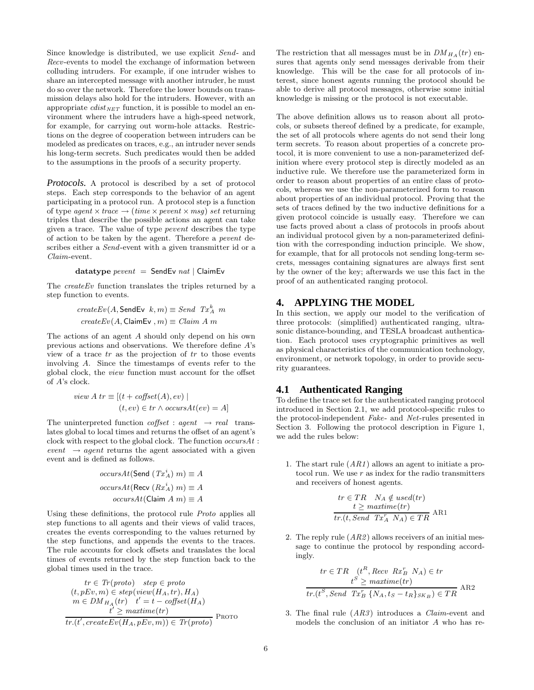Since knowledge is distributed, we use explicit Send- and Recv-events to model the exchange of information between colluding intruders. For example, if one intruder wishes to share an intercepted message with another intruder, he must do so over the network. Therefore the lower bounds on transmission delays also hold for the intruders. However, with an appropriate  $clist_{NET}$  function, it is possible to model an environment where the intruders have a high-speed network, for example, for carrying out worm-hole attacks. Restrictions on the degree of cooperation between intruders can be modeled as predicates on traces, e.g., an intruder never sends his long-term secrets. Such predicates would then be added to the assumptions in the proofs of a security property.

*Protocols.* A protocol is described by a set of protocol steps. Each step corresponds to the behavior of an agent participating in a protocol run. A protocol step is a function of type agent  $\times$  trace  $\rightarrow$  (time  $\times$  pevent  $\times$  msg) set returning triples that describe the possible actions an agent can take given a trace. The value of type pevent describes the type of action to be taken by the agent. Therefore a pevent describes either a *Send*-event with a given transmitter id or a Claim-event.

datatype  $pevent =$  SendEv nat | ClaimEv

The *createEv* function translates the triples returned by a step function to events.

$$
createEv(A, \text{SendEv } k, m) \equiv Send \ Tx_A^k \ m
$$

$$
createEv(A, \text{ClaimEv}, m) \equiv Claim \ A \ m
$$

The actions of an agent A should only depend on his own previous actions and observations. We therefore define A's view of a trace  $tr$  as the projection of  $tr$  to those events involving A. Since the timestamps of events refer to the global clock, the view function must account for the offset of A's clock.

view A 
$$
tr \equiv [(t + \text{offset}(A), ev) |
$$
  
 $(t, ev) \in tr \land occursAt(ev) = A]$ 

The uninterpreted function  $\textit{coffset}: \textit{agent} \rightarrow \textit{real}$  translates global to local times and returns the offset of an agent's clock with respect to the global clock. The function  $occursAt$ : event  $\rightarrow agent$  returns the agent associated with a given event and is defined as follows.

$$
occursAt(\mathsf{Send}\;(\mathit{Tx}^i_A)\;m) \equiv A
$$

$$
occursAt(\mathsf{Recv}\;(Rx^i_A)\;m) \equiv A
$$

$$
occursAt(\mathsf{Claim}\;A\;m) \equiv A
$$

Using these definitions, the protocol rule Proto applies all step functions to all agents and their views of valid traces, creates the events corresponding to the values returned by the step functions, and appends the events to the traces. The rule accounts for clock offsets and translates the local times of events returned by the step function back to the global times used in the trace.

$$
tr \in Tr(proto) \quad step \in proto
$$
  
\n
$$
(t, pEv, m) \in step(view(H_A, tr), H_A)
$$
  
\n
$$
m \in DM_{H_A}(tr) \quad t' = t - cofiset(H_A)
$$
  
\n
$$
t' \geq maxtime(tr)
$$
  
\n
$$
tr.(t', createEv(H_A, pEv, m)) \in Tr(proto)
$$
PROTO

The restriction that all messages must be in  $DM_{H_A}(tr)$  ensures that agents only send messages derivable from their knowledge. This will be the case for all protocols of interest, since honest agents running the protocol should be able to derive all protocol messages, otherwise some initial knowledge is missing or the protocol is not executable.

The above definition allows us to reason about all protocols, or subsets thereof defined by a predicate, for example, the set of all protocols where agents do not send their long term secrets. To reason about properties of a concrete protocol, it is more convenient to use a non-parameterized definition where every protocol step is directly modeled as an inductive rule. We therefore use the parameterized form in order to reason about properties of an entire class of protocols, whereas we use the non-parameterized form to reason about properties of an individual protocol. Proving that the sets of traces defined by the two inductive definitions for a given protocol coincide is usually easy. Therefore we can use facts proved about a class of protocols in proofs about an individual protocol given by a non-parameterized definition with the corresponding induction principle. We show, for example, that for all protocols not sending long-term secrets, messages containing signatures are always first sent by the owner of the key; afterwards we use this fact in the proof of an authenticated ranging protocol.

#### **4. APPLYING THE MODEL**

In this section, we apply our model to the verification of three protocols: (simplified) authenticated ranging, ultrasonic distance-bounding, and TESLA broadcast authentication. Each protocol uses cryptographic primitives as well as physical characteristics of the communication technology, environment, or network topology, in order to provide security guarantees.

#### **4.1 Authenticated Ranging**

To define the trace set for the authenticated ranging protocol introduced in Section 2.1, we add protocol-specific rules to the protocol-independent Fake- and Net-rules presented in Section 3. Following the protocol description in Figure 1, we add the rules below:

1. The start rule (AR1) allows an agent to initiate a protocol run. We use  $r$  as index for the radio transmitters and receivers of honest agents.

$$
tr \in TR \quad Na \notin used(tr)
$$
  

$$
t \geq \text{maxtime}(tr)
$$
  

$$
tr.(t, Send \quad Tx_A^T \quad Na) \in TR \quad ARI
$$

2. The reply rule  $(AR2)$  allows receivers of an initial message to continue the protocol by responding accordingly.

$$
tr \in TR \quad (t^R, Recv \; Rx^r_B \; N_A) \in tr
$$

$$
t^S \geq \text{maxtime}(tr)
$$

$$
tr.(t^S, Send \; Tx^r_B \{N_A, t_S - t_R\}_{SK_B}) \in TR \; \text{AR2}
$$

3. The final rule (AR3) introduces a Claim-event and models the conclusion of an initiator A who has re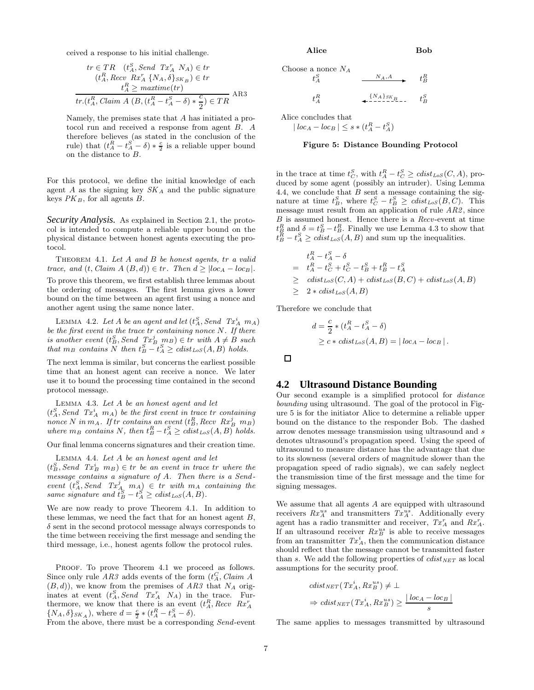ceived a response to his initial challenge.  $\mathcal{C}^{\dagger}$ 

$$
tr \in TR \quad (t_A^S, Send \quad Tx_A^r \quad N_A) \in tr
$$

$$
(t_A^R, Recv \quad Rx_A^r \quad \{N_A, \delta\}_{SK_B}) \in tr
$$

$$
\frac{t_A^R \geq \text{matrix}(tr)}{tr.(t_A^R, Claim \quad A \quad (B, (t_A^R - t_A^S - \delta) * \frac{c}{2}) \in TR)} \quad \text{AB3}
$$

Namely, the premises state that A has initiated a protocol run and received a response from agent B. A therefore believes (as stated in the conclusion of the rule) that  $(t_A^R - t_A^S - \delta) * \frac{c}{2}$  is a reliable upper bound on the distance to B.

For this protocol, we define the initial knowledge of each agent  $A$  as the signing key  $SK_A$  and the public signature keys  $PK_B$ , for all agents  $B$ .

*Security Analysis.* As explained in Section 2.1, the protocol is intended to compute a reliable upper bound on the physical distance between honest agents executing the protocol.

Theorem 4.1. Let A and B be honest agents, tr a valid trace, and  $(t, Claim A (B, d)) \in tr$ . Then  $d \geq |loc_A - loc_B|$ . To prove this theorem, we first establish three lemmas about the ordering of messages. The first lemma gives a lower bound on the time between an agent first using a nonce and another agent using the same nonce later.

LEMMA 4.2. Let A be an agent and let  $(t_A^S, Send~Tx_A^i~m_A)$ be the first event in the trace  $tr$  containing nonce  $N$ . If there is another event  $(t_B^S, Send \ Tx_B^j \ mx) \in tr \ with \ A \neq B \ such$ <br>that  $m_B$  contains N then  $t_B^S - t_A^S \geq \text{cdist}_{\text{LoS}}(A, B)$  holds.

The next lemma is similar, but concerns the earliest possible time that an honest agent can receive a nonce. We later use it to bound the processing time contained in the second protocol message.

Lemma 4.3. Let A be an honest agent and let

 $(t_A^S, Send~Tx_A^i~m_A)$  be the first event in trace tr containing nonce N in  $m_A$ . If tr contains an event  $(t_B^R, Recv Rx_B^j$   $m_B)$ where  $m_B$  contains N, then  $t_B^R - t_A^S \geq \text{clist}_{\text{LoS}}(A, B)$  holds.

Our final lemma concerns signatures and their creation time.

Lemma 4.4. Let A be an honest agent and let

 $(t_B^S, Send~Tx_B^i~m_B) \in tr~be~an~event~in~trace~tr~where~the$ message contains a signature of A. Then there is a Sendevent  $(t_A^S, Send \ Tx_A^j \ m_A) \in tr$  with  $m_A$  containing the same signature and  $t_B^S - t_A^S \geq \text{cdist}_{\text{LoS}}(A, B)$ .

We are now ready to prove Theorem 4.1. In addition to these lemmas, we need the fact that for an honest agent  $B$ ,  $\delta$  sent in the second protocol message always corresponds to the time between receiving the first message and sending the third message, i.e., honest agents follow the protocol rules.

PROOF. To prove Theorem 4.1 we proceed as follows. Since only rule  $AR3$  adds events of the form  $(t_A^C, Claim A)$  $(B, d)$ , we know from the premises of AR3 that  $N_A$  originates at event  $(t_A^S, Send \quad Tx_A^r \quad N_A)$  in the trace. Furthermore, we know that there is an event  $(t_A^R, Recv \, Rx_A^T)$ <br>{ $NA, \delta$ } $_{SK_A}$ , where  $d = \frac{c}{2} * (t_A^R - t_A^S - \delta)$ .

From the above, there must be a corresponding Send-event

Choose a nonce 
$$
N_A
$$
  
\n $t_A^S$   
\n $t_A^R$   
\n $t_A^R$   
\n $t_B^R$   
\n $t_B^R$   
\n $t_B^S$   
\n $t_B^S$   
\n $t_B^S$ 

Alice concludes that  $|loc_A - loc_B| \leq s * (t_A^R - t_A^S)$ 

#### Figure 5: Distance Bounding Protocol

in the trace at time  $t_C^S$ , with  $t_A^R - t_C^S \geq \text{clist}_{\text{LoS}}(C, A)$ , produced by some agent (possibly an intruder). Using Lemma 4.4, we conclude that  $B$  sent a message containing the signature at time  $t_B^S$ , where  $t_C^S - t_B^S \geq \text{clist}_{\text{LoS}}(B, C)$ . This message must result from an application of rule AR2 , since B is assumed honest. Hence there is a Recv-event at time  $t_B^R$  and  $\delta = t_B^S - t_B^R$ . Finally we use Lemma 4.3 to show that  $t_B^R - t_A^S \geq \text{clist}_{\text{LoS}}(A, B)$  and sum up the inequalities.

$$
t_A^R - t_A^S - \delta
$$
  
=  $t_A^R - t_C^S + t_C^S - t_B^S + t_B^R - t_A^S$   

$$
\geq \operatorname{cdist}_{\operatorname{LoS}}(C, A) + \operatorname{cdist}_{\operatorname{LoS}}(B, C) + \operatorname{cdist}_{\operatorname{LoS}}(A, B)
$$
  

$$
\geq 2 * \operatorname{cdist}_{\operatorname{LoS}}(A, B)
$$

Therefore we conclude that

$$
d = \frac{c}{2} * (t_A^R - t_A^S - \delta)
$$
  
\n
$$
\ge c * \text{clist}_{\text{LoS}}(A, B) = |\text{loc}_A - \text{loc}_B|.
$$

 $\Box$ 

#### **4.2 Ultrasound Distance Bounding**

Our second example is a simplified protocol for distance bounding using ultrasound. The goal of the protocol in Figure 5 is for the initiator Alice to determine a reliable upper bound on the distance to the responder Bob. The dashed arrow denotes message transmission using ultrasound and s denotes ultrasound's propagation speed. Using the speed of ultrasound to measure distance has the advantage that due to its slowness (several orders of magnitude slower than the propagation speed of radio signals), we can safely neglect the transmission time of the first message and the time for signing messages.

We assume that all agents A are equipped with ultrasound receivers  $Rx_A^{us}$  and transmitters  $Tx_A^{us}$ . Additionally every agent has a radio transmitter and receiver,  $Tx_A^r$  and  $Rx_A^r$ . If an ultrasound receiver  $Rx_B^{us}$  is able to receive messages from an transmitter  $Tx_A^i$ , then the communication distance should reflect that the message cannot be transmitted faster than s. We add the following properties of  $clist_{NET}$  as local assumptions for the security proof.

$$
cdist_{NET}(Tx_A^i, Rx_B^{us}) \neq \bot
$$
  
\n
$$
\Rightarrow cdist_{NET}(Tx_A^i, Rx_B^{us}) \geq \frac{|\text{loc}_A - \text{loc}_B|}{s}
$$

The same applies to messages transmitted by ultrasound

Alice Bob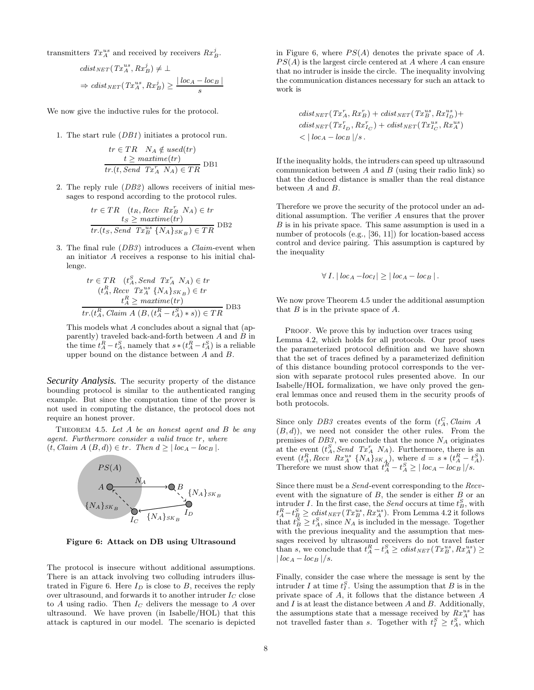transmitters  $Tx_A^{us}$  and received by receivers  $Rx_B^j$ .

$$
cdist_{NET}(Tx_A^{us}, Rx_B^j) \neq \bot
$$
  
\n
$$
\Rightarrow cdist_{NET}(Tx_A^{us}, Rx_B^j) \geq \frac{|\text{loc}_A - \text{loc}_B|}{s}
$$

We now give the inductive rules for the protocol.

1. The start rule (DB1) initiates a protocol run.

$$
tr \in TR \quad N_A \notin used(tr)
$$
  

$$
t \geq \text{matrix}(tr)
$$
  

$$
tr.(t, Send \quad Tx_A^T \quad N_A) \in TR
$$
 DB1

2. The reply rule (DB2) allows receivers of initial messages to respond according to the protocol rules.

$$
tr \in TR \quad (t_R, Recv \; Rx_B^r \; N_A) \in tr
$$

$$
t_S \geq \text{maxtime}(tr)
$$

$$
tr.(t_S, Send \; Tx_B^{us} \; \{N_A\}_{SK_B}) \in TR \; DB2
$$

3. The final rule (DB3) introduces a Claim-event when an initiator A receives a response to his initial challenge.

$$
tr \in TR \quad (t_A^R, Send \quad Tx_A^r \quad N_A) \in tr
$$

$$
(t_A^R, Recv \quad Tx_A^{us} \{N_A\}_{SK_B}) \in tr
$$

$$
t_A^R \geq \text{maxtime}(tr)
$$

$$
tr.(t_A^R, Claim \ A \ (B, (t_A^R - t_A^S) * s)) \in TR
$$
DB3

This models what A concludes about a signal that (apparently) traveled back-and-forth between  $A$  and  $B$  in the time  $t_A^R - t_A^S$ , namely that  $s * (t_A^R - t_A^S)$  is a reliable upper bound on the distance between A and B.

*Security Analysis.* The security property of the distance bounding protocol is similar to the authenticated ranging example. But since the computation time of the prover is not used in computing the distance, the protocol does not require an honest prover.

THEOREM 4.5. Let  $A$  be an honest agent and  $B$  be any agent. Furthermore consider a valid trace tr, where  $(t, Claim A (B, d)) \in tr$ . Then  $d \geq |loc_A - loc_B|$ .



Figure 6: Attack on DB using Ultrasound

The protocol is insecure without additional assumptions. There is an attack involving two colluding intruders illustrated in Figure 6. Here  $I_D$  is close to B, receives the reply over ultrasound, and forwards it to another intruder  $I_C$  close to  $A$  using radio. Then  $I_C$  delivers the message to  $A$  over ultrasound. We have proven (in Isabelle/HOL) that this attack is captured in our model. The scenario is depicted in Figure 6, where  $PS(A)$  denotes the private space of A.  $PS(A)$  is the largest circle centered at A where A can ensure that no intruder is inside the circle. The inequality involving the communication distances necessary for such an attack to work is

$$
\begin{aligned} & \operatorname{cdist}_{\operatorname{NET}}(Tx_A^r, Rx_B^r) + \operatorname{cdist}_{\operatorname{NET}}(Tx_B^{us}, Rx_{ID}^r) + \\ & \operatorname{cdist}_{\operatorname{NET}}(Tx_{I_D}^r, Rx_{I_C}^r) + \operatorname{cdist}_{\operatorname{NET}}(Tx_{I_C}^{us}, Rx_A^{us}) \\ & & < |\operatorname{loc}_A - \operatorname{loc}_B|/s \, . \end{aligned}
$$

If the inequality holds, the intruders can speed up ultrasound communication between  $A$  and  $B$  (using their radio link) so that the deduced distance is smaller than the real distance between A and B.

Therefore we prove the security of the protocol under an additional assumption. The verifier A ensures that the prover B is in his private space. This same assumption is used in a number of protocols (e.g., [36, 11]) for location-based access control and device pairing. This assumption is captured by the inequality

$$
\forall I. | \text{loc}_A - \text{loc}_I | \geq | \text{loc}_A - \text{loc}_B |.
$$

We now prove Theorem 4.5 under the additional assumption that  $B$  is in the private space of  $A$ .

PROOF. We prove this by induction over traces using Lemma 4.2, which holds for all protocols. Our proof uses the parameterized protocol definition and we have shown that the set of traces defined by a parameterized definition of this distance bounding protocol corresponds to the version with separate protocol rules presented above. In our Isabelle/HOL formalization, we have only proved the general lemmas once and reused them in the security proofs of both protocols.

Since only  $DB3$  creates events of the form  $(t_A^C, Claim\ A)$  $(B, d)$ , we need not consider the other rules. From the premises of  $DB3$ , we conclude that the nonce  $N_A$  originates at the event  $(t_A^S, Send \ Tx_A^r N_A)$ . Furthermore, there is an event  $(t_A^R, Recv \; Rx_A^{us} \{N_A\}_{SK_A})$ , where  $d = s * (t_A^R - t_A^S)$ . Therefore we must show that  $t_A^R - t_A^S \geq | \log A - \log B | / s$ .

Since there must be a Send-event corresponding to the Recvevent with the signature of  $B$ , the sender is either  $B$  or an intruder I. In the first case, the *Send* occurs at time  $t_B^S$ , with  $t_A^R - t_B^S \geq \text{cdist}_{NET}(\text{Tx}_B^{us}, \text{Rx}_A^{us})$ . From Lemma 4.2 it follows that  $t_B^S \geq t_A^S$ , since  $N_A$  is included in the message. Together with the previous inequality and the assumption that messages received by ultrasound receivers do not travel faster than s, we conclude that  $t_A^R - t_A^S \geq \text{clist}_{\text{NET}}(Tx_B^{us}, Rx_A^{us}) \geq$  $| \, loc_A - loc_B \, | /s.$ 

Finally, consider the case where the message is sent by the intruder I at time  $t_I^S$ . Using the assumption that B is in the private space of A, it follows that the distance between A and  $I$  is at least the distance between  $A$  and  $B$ . Additionally, the assumptions state that a message received by  $Rx_A^{us}$  has not travelled faster than s. Together with  $t_I^S \geq t_A^S$ , which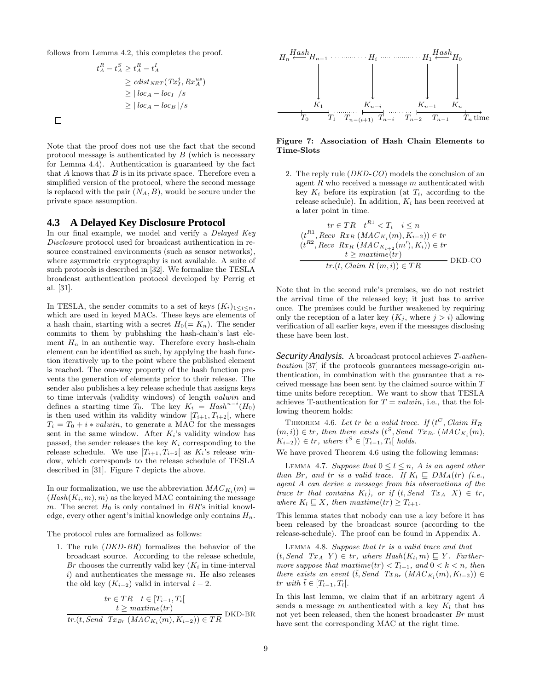follows from Lemma 4.2, this completes the proof.

$$
t_A^R - t_A^S \ge t_A^R - t_A^I
$$
  
\n
$$
\ge \operatorname{clist}_{NET}(\operatorname{Tx}_I^j, \operatorname{Rx}_A^{us})
$$
  
\n
$$
\ge |\operatorname{loc}_A - \operatorname{loc}_I|/s
$$
  
\n
$$
\ge |\operatorname{loc}_A - \operatorname{loc}_B|/s
$$

 $\Box$ 

Note that the proof does not use the fact that the second protocol message is authenticated by  $B$  (which is necessary for Lemma 4.4). Authentication is guaranteed by the fact that  $A$  knows that  $B$  is in its private space. Therefore even a simplified version of the protocol, where the second message is replaced with the pair  $(N_A, B)$ , would be secure under the private space assumption.

#### **4.3 A Delayed Key Disclosure Protocol**

In our final example, we model and verify a *Delayed Key* Disclosure protocol used for broadcast authentication in resource constrained environments (such as sensor networks), where asymmetric cryptography is not available. A suite of such protocols is described in [32]. We formalize the TESLA broadcast authentication protocol developed by Perrig et al. [31].

In TESLA, the sender commits to a set of keys  $(K_i)_{1 \leq i \leq n}$ , which are used in keyed MACs. These keys are elements of a hash chain, starting with a secret  $H_0(= K_n)$ . The sender commits to them by publishing the hash-chain's last element  $H_n$  in an authentic way. Therefore every hash-chain element can be identified as such, by applying the hash function iteratively up to the point where the published element is reached. The one-way property of the hash function prevents the generation of elements prior to their release. The sender also publishes a key release schedule that assigns keys to time intervals (validity windows) of length valwin and defines a starting time  $T_0$ . The key  $K_i = \text{Hash}^{n-i}(H_0)$ is then used within its validity window  $[T_{i+1}, T_{i+2}]$ , where  $T_i = T_0 + i * valwin$ , to generate a MAC for the messages sent in the same window. After  $K_i$ 's validity window has passed, the sender releases the key  $K_i$  corresponding to the release schedule. We use  $[T_{i+1}, T_{i+2}]$  as  $K_i$ 's release window, which corresponds to the release schedule of TESLA described in [31]. Figure 7 depicts the above.

In our formalization, we use the abbreviation  $MAC_{K_i}(m) =$  $(Hash(K_i, m), m)$  as the keyed MAC containing the message m. The secret  $H_0$  is only contained in  $BR$ 's initial knowledge, every other agent's initial knowledge only contains  $H_n$ .

The protocol rules are formalized as follows:

1. The rule (DKD-BR) formalizes the behavior of the broadcast source. According to the release schedule, Br chooses the currently valid key  $(K_i$  in time-interval  $i)$  and authenticates the message  $m$ . He also releases the old key  $(K_{i-2})$  valid in interval  $i-2$ .

$$
tr \in TR \t t \in [T_{i-1}, T_i[
$$

$$
t \geq \text{maxtime}(tr)
$$

$$
tr.(t, Send \t Tx_{Br} (MAC_{K_i}(m), K_{i-2})) \in TR \t DKD-BR
$$



#### Figure 7: Association of Hash Chain Elements to Time-Slots

2. The reply rule (DKD-CO) models the conclusion of an agent  $R$  who received a message  $m$  authenticated with key  $K_i$  before its expiration (at  $T_i$ , according to the release schedule). In addition,  $K_i$  has been received at a later point in time.

$$
tr \in TR \quad t^{R1} < T_i \quad i \leq n
$$
\n
$$
(t^{R1}, Recv \quad Rx_R \quad (MAC_{K_i}(m), K_{i-2})) \in tr
$$
\n
$$
(t^{R2}, Recv \quad Rx_R \quad (MAC_{K_{i+2}}(m'), K_i)) \in tr
$$
\n
$$
t \geq \text{maxtime}(tr)
$$
\n
$$
tr.(t, Claim \quad R \ (m, i)) \in TR \qquad \qquad \text{DKD-CO}
$$

Note that in the second rule's premises, we do not restrict the arrival time of the released key; it just has to arrive once. The premises could be further weakened by requiring only the reception of a later key  $(K_i,$  where  $j > i$ ) allowing verification of all earlier keys, even if the messages disclosing these have been lost.

*Security Analysis.* A broadcast protocol achieves T-authentication [37] if the protocols guarantees message-origin authentication, in combination with the guarantee that a received message has been sent by the claimed source within  $T$ time units before reception. We want to show that TESLA achieves T-authentication for  $T = valwin$ , i.e., that the following theorem holds:

THEOREM 4.6. Let tr be a valid trace. If  $(t^C, Claim H_R)$  $(m, i)$ )  $\in$  tr, then there exists  $(t^S, Send\ Tx_{Br} (MAC_{K_i}(m)),$  $(K_{i-2})$ ) ∈ tr, where  $t^S \in [T_{i-1}, T_i[$  holds.

We have proved Theorem 4.6 using the following lemmas:

LEMMA 4.7. Suppose that  $0 \leq l \leq n$ , A is an agent other than Br, and tr is a valid trace. If  $K_l \sqsubseteq DM_A(tr)$  (i.e., agent A can derive a message from his observations of the trace tr that contains  $K_l$ ), or if  $(t, Send \, Tx_A \, X) \in tr$ , where  $K_l \subseteq X$ , then  $\textit{maxtime}(tr) \geq T_{l+1}$ .

This lemma states that nobody can use a key before it has been released by the broadcast source (according to the release-schedule). The proof can be found in Appendix A.

Lemma 4.8. Suppose that tr is a valid trace and that  $(t, Send \, Tx_A \, Y) \in tr$ , where  $Hash(K_l, m) \subseteq Y$ . Furthermore suppose that  $\text{maxtime}(tr) < T_{l+1}$ , and  $0 < k < n$ , then there exists an event  $(\tilde{t}, Send \ Tx_{Br} (MAC_{K_l}(m), K_{l-2})) \in$ tr with  $\tilde{t} \in [T_{l-1}, T_l].$ 

In this last lemma, we claim that if an arbitrary agent A sends a message  $m$  authenticated with a key  $K_l$  that has not yet been released, then the honest broadcaster Br must have sent the corresponding MAC at the right time.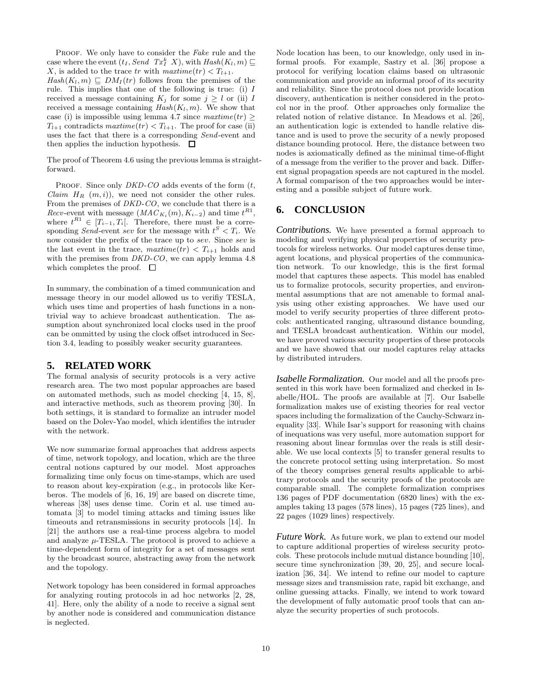PROOF. We only have to consider the Fake rule and the case where the event  $(t_I, Send \ Tx_I^k X)$ , with  $Hash(K_l, m) \sqsubseteq$ X, is added to the trace tr with  $maxtime(tr) < T_{l+1}$ .  $Hash(K_l, m) \sqsubset DM_I(tr)$  follows from the premises of the rule. This implies that one of the following is true: (i) I received a message containing  $K_j$  for some  $j \geq l$  or (ii) I received a message containing  $Hash(K_l, m)$ . We show that case (i) is impossible using lemma 4.7 since  $\textit{maxtime}(tr) \geq$  $T_{l+1}$  contradicts  $\textit{maxtime}(tr) < T_{l+1}$ . The proof for case (ii) uses the fact that there is a corresponding Send-event and then applies the induction hypothesis.  $\Box$ 

The proof of Theorem 4.6 using the previous lemma is straightforward.

PROOF. Since only  $DKD$ -CO adds events of the form  $(t,$ *Claim H<sub>R</sub>*  $(m, i)$ , we need not consider the other rules. From the premises of DKD-CO, we conclude that there is a *Recv*-event with message  $(MAC_{K_i}(m), K_{i-2})$  and time  $t^{R1}$ , where  $t^{R1} \in [T_{i-1}, T_i]$ . Therefore, there must be a corresponding Send-event sev for the message with  $t^S < T_i$ . We now consider the prefix of the trace up to sev. Since sev is the last event in the trace,  $\textit{maxtime}(tr) < T_{i+1}$  holds and with the premises from DKD-CO, we can apply lemma 4.8 which completes the proof.  $\Box$ 

In summary, the combination of a timed communication and message theory in our model allowed us to verifiy TESLA, which uses time and properties of hash functions in a nontrivial way to achieve broadcast authentication. The assumption about synchronized local clocks used in the proof can be ommitted by using the clock offset introduced in Section 3.4, leading to possibly weaker security guarantees.

#### **5. RELATED WORK**

The formal analysis of security protocols is a very active research area. The two most popular approaches are based on automated methods, such as model checking [4, 15, 8], and interactive methods, such as theorem proving [30]. In both settings, it is standard to formalize an intruder model based on the Dolev-Yao model, which identifies the intruder with the network.

We now summarize formal approaches that address aspects of time, network topology, and location, which are the three central notions captured by our model. Most approaches formalizing time only focus on time-stamps, which are used to reason about key-expiration (e.g., in protocols like Kerberos. The models of [6, 16, 19] are based on discrete time, whereas [38] uses dense time. Corin et al. use timed automata [3] to model timing attacks and timing issues like timeouts and retransmissions in security protocols [14]. In [21] the authors use a real-time process algebra to model and analyze  $\mu$ -TESLA. The protocol is proved to achieve a time-dependent form of integrity for a set of messages sent by the broadcast source, abstracting away from the network and the topology.

Network topology has been considered in formal approaches for analyzing routing protocols in ad hoc networks [2, 28, 41]. Here, only the ability of a node to receive a signal sent by another node is considered and communication distance is neglected.

Node location has been, to our knowledge, only used in informal proofs. For example, Sastry et al. [36] propose a protocol for verifying location claims based on ultrasonic communication and provide an informal proof of its security and reliability. Since the protocol does not provide location discovery, authentication is neither considered in the protocol nor in the proof. Other approaches only formalize the related notion of relative distance. In Meadows et al. [26], an authentication logic is extended to handle relative distance and is used to prove the security of a newly proposed distance bounding protocol. Here, the distance between two nodes is axiomatically defined as the minimal time-of-flight of a message from the verifier to the prover and back. Different signal propagation speeds are not captured in the model. A formal comparison of the two approaches would be interesting and a possible subject of future work.

#### **6. CONCLUSION**

*Contributions.* We have presented a formal approach to modeling and verifying physical properties of security protocols for wireless networks. Our model captures dense time, agent locations, and physical properties of the communication network. To our knowledge, this is the first formal model that captures these aspects. This model has enabled us to formalize protocols, security properties, and environmental assumptions that are not amenable to formal analysis using other existing approaches. We have used our model to verify security properties of three different protocols: authenticated ranging, ultrasound distance bounding, and TESLA broadcast authentication. Within our model, we have proved various security properties of these protocols and we have showed that our model captures relay attacks by distributed intruders.

*Isabelle Formalization.* Our model and all the proofs presented in this work have been formalized and checked in Isabelle/HOL. The proofs are available at [7]. Our Isabelle formalization makes use of existing theories for real vector spaces including the formalization of the Cauchy-Schwarz inequality [33]. While Isar's support for reasoning with chains of inequations was very useful, more automation support for reasoning about linear formulas over the reals is still desirable. We use local contexts [5] to transfer general results to the concrete protocol setting using interpretation. So most of the theory comprises general results applicable to arbitrary protocols and the security proofs of the protocols are comparable small. The complete formalization comprises 136 pages of PDF documentation (6820 lines) with the examples taking 13 pages (578 lines), 15 pages (725 lines), and 22 pages (1029 lines) respectively.

*Future Work.* As future work, we plan to extend our model to capture additional properties of wireless security protocols. These protocols include mutual distance bounding [10], secure time synchronization [39, 20, 25], and secure localization [36, 34]. We intend to refine our model to capture message sizes and transmission rate, rapid bit exchange, and online guessing attacks. Finally, we intend to work toward the development of fully automatic proof tools that can analyze the security properties of such protocols.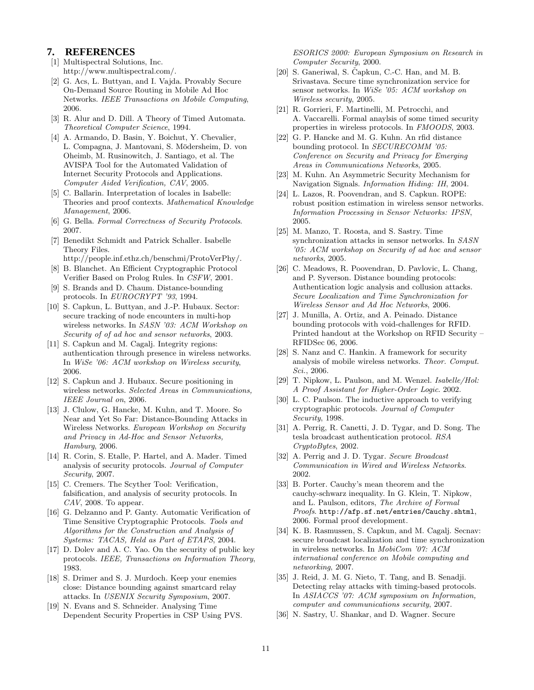#### **7. REFERENCES**

- [1] Multispectral Solutions, Inc. http://www.multispectral.com/.
- [2] G. Acs, L. Buttyan, and I. Vajda. Provably Secure On-Demand Source Routing in Mobile Ad Hoc Networks. IEEE Transactions on Mobile Computing, 2006.
- [3] R. Alur and D. Dill. A Theory of Timed Automata. Theoretical Computer Science, 1994.
- [4] A. Armando, D. Basin, Y. Boichut, Y. Chevalier, L. Compagna, J. Mantovani, S. Mödersheim, D. von Oheimb, M. Rusinowitch, J. Santiago, et al. The AVISPA Tool for the Automated Validation of Internet Security Protocols and Applications. Computer Aided Verification, CAV, 2005.
- [5] C. Ballarin. Interpretation of locales in Isabelle: Theories and proof contexts. Mathematical Knowledge Management, 2006.
- [6] G. Bella. Formal Correctness of Security Protocols. 2007.
- [7] Benedikt Schmidt and Patrick Schaller. Isabelle Theory Files.
- http://people.inf.ethz.ch/benschmi/ProtoVerPhy/. [8] B. Blanchet. An Efficient Cryptographic Protocol
- Verifier Based on Prolog Rules. In CSFW, 2001. [9] S. Brands and D. Chaum. Distance-bounding
- protocols. In EUROCRYPT '93, 1994.
- [10] S. Capkun, L. Buttyan, and J.-P. Hubaux. Sector: secure tracking of node encounters in multi-hop wireless networks. In SASN '03: ACM Workshop on Security of of ad hoc and sensor networks, 2003.
- [11] S. Capkun and M. Cagalj. Integrity regions: authentication through presence in wireless networks. In WiSe '06: ACM workshop on Wireless security, 2006.
- [12] S. Capkun and J. Hubaux. Secure positioning in wireless networks. Selected Areas in Communications, IEEE Journal on, 2006.
- [13] J. Clulow, G. Hancke, M. Kuhn, and T. Moore. So Near and Yet So Far: Distance-Bounding Attacks in Wireless Networks. European Workshop on Security and Privacy in Ad-Hoc and Sensor Networks, Hamburg, 2006.
- [14] R. Corin, S. Etalle, P. Hartel, and A. Mader. Timed analysis of security protocols. Journal of Computer Security, 2007.
- [15] C. Cremers. The Scyther Tool: Verification, falsification, and analysis of security protocols. In  $CAV$ , 2008. To appear.
- [16] G. Delzanno and P. Ganty. Automatic Verification of Time Sensitive Cryptographic Protocols. Tools and Algorithms for the Construction and Analysis of Systems: TACAS, Held as Part of ETAPS, 2004.
- [17] D. Dolev and A. C. Yao. On the security of public key protocols. IEEE, Transactions on Information Theory, 1983.
- [18] S. Drimer and S. J. Murdoch. Keep your enemies close: Distance bounding against smartcard relay attacks. In USENIX Security Symposium, 2007.
- [19] N. Evans and S. Schneider. Analysing Time Dependent Security Properties in CSP Using PVS.

ESORICS 2000: European Symposium on Research in Computer Security, 2000.

- [20] S. Ganeriwal, S. Čapkun, C.-C. Han, and M. B. Srivastava. Secure time synchronization service for sensor networks. In WiSe '05: ACM workshop on Wireless security, 2005.
- [21] R. Gorrieri, F. Martinelli, M. Petrocchi, and A. Vaccarelli. Formal anaylsis of some timed security properties in wireless protocols. In FMOODS, 2003.
- [22] G. P. Hancke and M. G. Kuhn. An rfid distance bounding protocol. In *SECURECOMM* '05: Conference on Security and Privacy for Emerging Areas in Communications Networks, 2005.
- [23] M. Kuhn. An Asymmetric Security Mechanism for Navigation Signals. Information Hiding: IH, 2004.
- [24] L. Lazos, R. Poovendran, and S. Capkun. ROPE: robust position estimation in wireless sensor networks. Information Processing in Sensor Networks: IPSN, 2005.
- [25] M. Manzo, T. Roosta, and S. Sastry. Time synchronization attacks in sensor networks. In SASN '05: ACM workshop on Security of ad hoc and sensor networks, 2005.
- [26] C. Meadows, R. Poovendran, D. Pavlovic, L. Chang, and P. Syverson. Distance bounding protocols: Authentication logic analysis and collusion attacks. Secure Localization and Time Synchronization for Wireless Sensor and Ad Hoc Networks, 2006.
- [27] J. Munilla, A. Ortiz, and A. Peinado. Distance bounding protocols with void-challenges for RFID. Printed handout at the Workshop on RFID Security – RFIDSec 06, 2006.
- [28] S. Nanz and C. Hankin. A framework for security analysis of mobile wireless networks. Theor. Comput. Sci., 2006.
- [29] T. Nipkow, L. Paulson, and M. Wenzel. *Isabelle/Hol:* A Proof Assistant for Higher-Order Logic. 2002.
- [30] L. C. Paulson. The inductive approach to verifying cryptographic protocols. Journal of Computer Security, 1998.
- [31] A. Perrig, R. Canetti, J. D. Tygar, and D. Song. The tesla broadcast authentication protocol. RSA CryptoBytes, 2002.
- [32] A. Perrig and J. D. Tygar. Secure Broadcast Communication in Wired and Wireless Networks. 2002.
- [33] B. Porter. Cauchy's mean theorem and the cauchy-schwarz inequality. In G. Klein, T. Nipkow, and L. Paulson, editors, The Archive of Formal Proofs. http://afp.sf.net/entries/Cauchy.shtml, 2006. Formal proof development.
- [34] K. B. Rasmussen, S. Capkun, and M. Cagalj. Secnav: secure broadcast localization and time synchronization in wireless networks. In MobiCom '07: ACM international conference on Mobile computing and networking, 2007.
- [35] J. Reid, J. M. G. Nieto, T. Tang, and B. Senadji. Detecting relay attacks with timing-based protocols. In ASIACCS '07: ACM symposium on Information, computer and communications security, 2007.
- [36] N. Sastry, U. Shankar, and D. Wagner. Secure